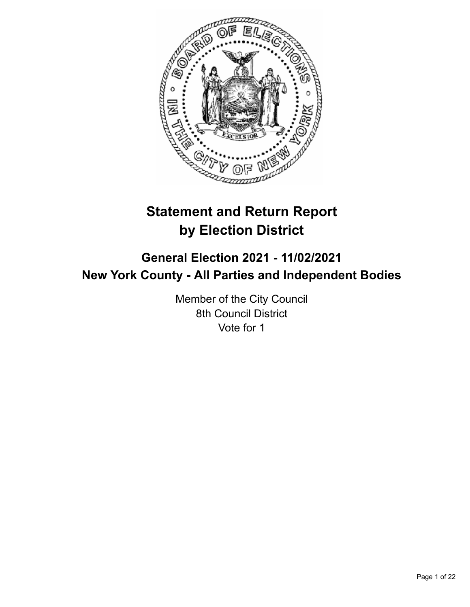

# **Statement and Return Report by Election District**

## **General Election 2021 - 11/02/2021 New York County - All Parties and Independent Bodies**

Member of the City Council 8th Council District Vote for 1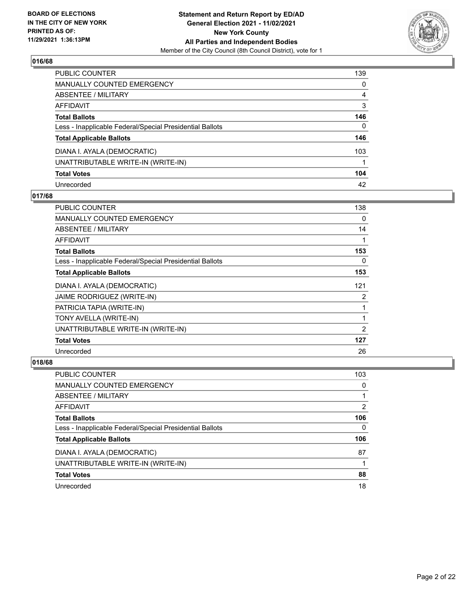

| PUBLIC COUNTER                                           | 139 |
|----------------------------------------------------------|-----|
| <b>MANUALLY COUNTED EMERGENCY</b>                        | 0   |
| ABSENTEE / MILITARY                                      | 4   |
| AFFIDAVIT                                                | 3   |
| <b>Total Ballots</b>                                     | 146 |
| Less - Inapplicable Federal/Special Presidential Ballots | 0   |
| <b>Total Applicable Ballots</b>                          | 146 |
| DIANA I. AYALA (DEMOCRATIC)                              | 103 |
| UNATTRIBUTABLE WRITE-IN (WRITE-IN)                       |     |
| <b>Total Votes</b>                                       | 104 |
| Unrecorded                                               | 42  |

## **017/68**

| PUBLIC COUNTER                                           | 138 |
|----------------------------------------------------------|-----|
| <b>MANUALLY COUNTED EMERGENCY</b>                        | 0   |
| ABSENTEE / MILITARY                                      | 14  |
| AFFIDAVIT                                                |     |
| <b>Total Ballots</b>                                     | 153 |
| Less - Inapplicable Federal/Special Presidential Ballots | 0   |
| <b>Total Applicable Ballots</b>                          | 153 |
| DIANA I. AYALA (DEMOCRATIC)                              | 121 |
| JAIME RODRIGUEZ (WRITE-IN)                               | 2   |
| PATRICIA TAPIA (WRITE-IN)                                |     |
| TONY AVELLA (WRITE-IN)                                   | 1   |
| UNATTRIBUTABLE WRITE-IN (WRITE-IN)                       | 2   |
| <b>Total Votes</b>                                       | 127 |
| Unrecorded                                               | 26  |

| PUBLIC COUNTER                                           | 103           |
|----------------------------------------------------------|---------------|
| MANUALLY COUNTED EMERGENCY                               | 0             |
| ABSENTEE / MILITARY                                      |               |
| AFFIDAVIT                                                | $\mathcal{P}$ |
| <b>Total Ballots</b>                                     | 106           |
| Less - Inapplicable Federal/Special Presidential Ballots | 0             |
| <b>Total Applicable Ballots</b>                          | 106           |
| DIANA I. AYALA (DEMOCRATIC)                              | 87            |
| UNATTRIBUTABLE WRITE-IN (WRITE-IN)                       |               |
| <b>Total Votes</b>                                       | 88            |
| Unrecorded                                               | 18            |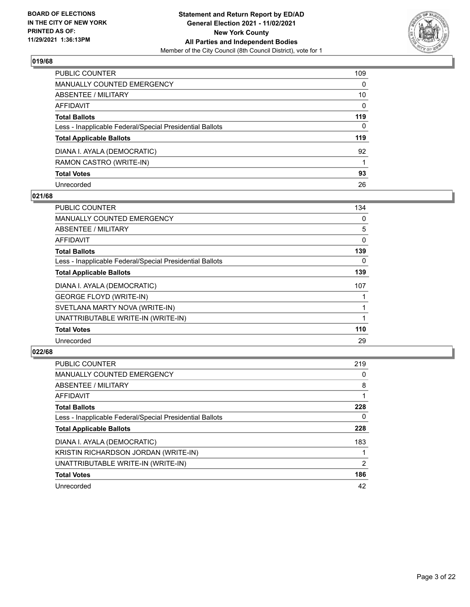

| PUBLIC COUNTER                                           | 109          |
|----------------------------------------------------------|--------------|
| <b>MANUALLY COUNTED EMERGENCY</b>                        | 0            |
| ABSENTEE / MILITARY                                      | 10           |
| AFFIDAVIT                                                | $\mathbf{0}$ |
| <b>Total Ballots</b>                                     | 119          |
| Less - Inapplicable Federal/Special Presidential Ballots | $\Omega$     |
| <b>Total Applicable Ballots</b>                          | 119          |
| DIANA I. AYALA (DEMOCRATIC)                              | 92           |
| RAMON CASTRO (WRITE-IN)                                  |              |
| <b>Total Votes</b>                                       | 93           |
| Unrecorded                                               | 26           |

## **021/68**

| PUBLIC COUNTER                                           | 134      |
|----------------------------------------------------------|----------|
| <b>MANUALLY COUNTED EMERGENCY</b>                        | $\Omega$ |
| ABSENTEE / MILITARY                                      | 5        |
| <b>AFFIDAVIT</b>                                         | 0        |
| <b>Total Ballots</b>                                     | 139      |
| Less - Inapplicable Federal/Special Presidential Ballots | 0        |
| <b>Total Applicable Ballots</b>                          | 139      |
| DIANA I. AYALA (DEMOCRATIC)                              | 107      |
| <b>GEORGE FLOYD (WRITE-IN)</b>                           |          |
| SVETLANA MARTY NOVA (WRITE-IN)                           |          |
| UNATTRIBUTABLE WRITE-IN (WRITE-IN)                       |          |
| <b>Total Votes</b>                                       | 110      |
| Unrecorded                                               | 29       |

| <b>PUBLIC COUNTER</b>                                    | 219 |
|----------------------------------------------------------|-----|
| <b>MANUALLY COUNTED EMERGENCY</b>                        | 0   |
| ABSENTEE / MILITARY                                      | 8   |
| <b>AFFIDAVIT</b>                                         |     |
| <b>Total Ballots</b>                                     | 228 |
| Less - Inapplicable Federal/Special Presidential Ballots | 0   |
| <b>Total Applicable Ballots</b>                          | 228 |
| DIANA I. AYALA (DEMOCRATIC)                              | 183 |
| KRISTIN RICHARDSON JORDAN (WRITE-IN)                     |     |
| UNATTRIBUTABLE WRITE-IN (WRITE-IN)                       | 2   |
| <b>Total Votes</b>                                       | 186 |
| Unrecorded                                               | 42  |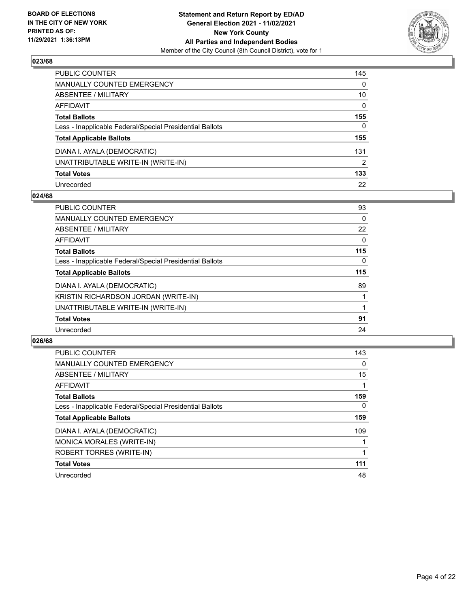

| PUBLIC COUNTER                                           | 145      |
|----------------------------------------------------------|----------|
| <b>MANUALLY COUNTED EMERGENCY</b>                        | 0        |
| <b>ABSENTEE / MILITARY</b>                               | 10       |
| AFFIDAVIT                                                | $\Omega$ |
| <b>Total Ballots</b>                                     | 155      |
| Less - Inapplicable Federal/Special Presidential Ballots | 0        |
| <b>Total Applicable Ballots</b>                          | 155      |
| DIANA I. AYALA (DEMOCRATIC)                              | 131      |
| UNATTRIBUTABLE WRITE-IN (WRITE-IN)                       | 2        |
| <b>Total Votes</b>                                       | 133      |
| Unrecorded                                               | 22       |

## **024/68**

| <b>PUBLIC COUNTER</b>                                    | 93       |
|----------------------------------------------------------|----------|
| <b>MANUALLY COUNTED EMERGENCY</b>                        | $\Omega$ |
| ABSENTEE / MILITARY                                      | 22       |
| AFFIDAVIT                                                | $\Omega$ |
| <b>Total Ballots</b>                                     | 115      |
| Less - Inapplicable Federal/Special Presidential Ballots | 0        |
| <b>Total Applicable Ballots</b>                          | 115      |
| DIANA I. AYALA (DEMOCRATIC)                              | 89       |
| KRISTIN RICHARDSON JORDAN (WRITE-IN)                     |          |
| UNATTRIBUTABLE WRITE-IN (WRITE-IN)                       |          |
| <b>Total Votes</b>                                       | 91       |
| Unrecorded                                               | 24       |

| <b>PUBLIC COUNTER</b>                                    | 143      |
|----------------------------------------------------------|----------|
| <b>MANUALLY COUNTED EMERGENCY</b>                        | 0        |
| ABSENTEE / MILITARY                                      | 15       |
| <b>AFFIDAVIT</b>                                         |          |
| <b>Total Ballots</b>                                     | 159      |
| Less - Inapplicable Federal/Special Presidential Ballots | $\Omega$ |
| <b>Total Applicable Ballots</b>                          | 159      |
| DIANA I. AYALA (DEMOCRATIC)                              | 109      |
| MONICA MORALES (WRITE-IN)                                |          |
| ROBERT TORRES (WRITE-IN)                                 |          |
| <b>Total Votes</b>                                       | 111      |
| Unrecorded                                               | 48       |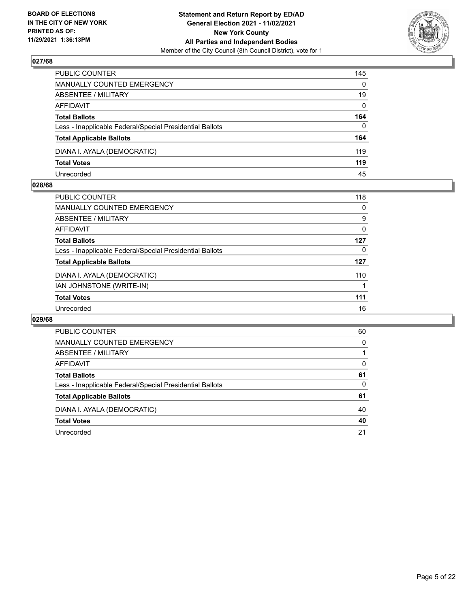

| PUBLIC COUNTER                                           | 145          |
|----------------------------------------------------------|--------------|
| MANUALLY COUNTED EMERGENCY                               | $\mathbf{0}$ |
| <b>ABSENTEE / MILITARY</b>                               | 19           |
| AFFIDAVIT                                                | $\mathbf{0}$ |
| <b>Total Ballots</b>                                     | 164          |
| Less - Inapplicable Federal/Special Presidential Ballots | $\mathbf{0}$ |
| <b>Total Applicable Ballots</b>                          | 164          |
| DIANA I. AYALA (DEMOCRATIC)                              | 119          |
| <b>Total Votes</b>                                       | 119          |
| Unrecorded                                               | 45           |

#### **028/68**

| <b>PUBLIC COUNTER</b>                                    | 118      |
|----------------------------------------------------------|----------|
| <b>MANUALLY COUNTED EMERGENCY</b>                        | $\Omega$ |
| <b>ABSENTEE / MILITARY</b>                               | 9        |
| AFFIDAVIT                                                | 0        |
| <b>Total Ballots</b>                                     | 127      |
| Less - Inapplicable Federal/Special Presidential Ballots | 0        |
| <b>Total Applicable Ballots</b>                          | 127      |
| DIANA I. AYALA (DEMOCRATIC)                              | 110      |
| IAN JOHNSTONE (WRITE-IN)                                 |          |
| <b>Total Votes</b>                                       | 111      |
| Unrecorded                                               | 16       |
|                                                          |          |

| <b>PUBLIC COUNTER</b>                                    | 60       |
|----------------------------------------------------------|----------|
| <b>MANUALLY COUNTED EMERGENCY</b>                        | $\Omega$ |
| ABSENTEE / MILITARY                                      |          |
| AFFIDAVIT                                                | $\Omega$ |
| <b>Total Ballots</b>                                     | 61       |
| Less - Inapplicable Federal/Special Presidential Ballots | 0        |
| <b>Total Applicable Ballots</b>                          | 61       |
| DIANA I. AYALA (DEMOCRATIC)                              | 40       |
| <b>Total Votes</b>                                       | 40       |
| Unrecorded                                               | 21       |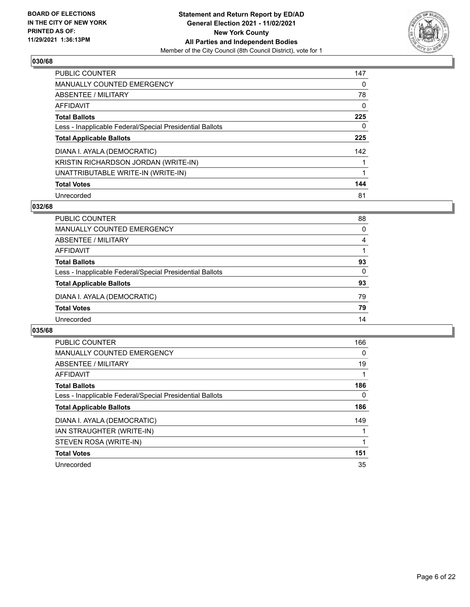

| <b>PUBLIC COUNTER</b>                                    | 147      |
|----------------------------------------------------------|----------|
| <b>MANUALLY COUNTED EMERGENCY</b>                        | $\Omega$ |
| ABSENTEE / MILITARY                                      | 78       |
| AFFIDAVIT                                                | $\Omega$ |
| <b>Total Ballots</b>                                     | 225      |
| Less - Inapplicable Federal/Special Presidential Ballots | 0        |
| <b>Total Applicable Ballots</b>                          | 225      |
| DIANA I. AYALA (DEMOCRATIC)                              | 142      |
| KRISTIN RICHARDSON JORDAN (WRITE-IN)                     |          |
| UNATTRIBUTABLE WRITE-IN (WRITE-IN)                       |          |
| <b>Total Votes</b>                                       | 144      |
| Unrecorded                                               | 81       |

## **032/68**

| <b>PUBLIC COUNTER</b>                                    | 88       |
|----------------------------------------------------------|----------|
| <b>MANUALLY COUNTED EMERGENCY</b>                        | $\Omega$ |
| ABSENTEE / MILITARY                                      | 4        |
| AFFIDAVIT                                                |          |
| <b>Total Ballots</b>                                     | 93       |
| Less - Inapplicable Federal/Special Presidential Ballots | 0        |
| <b>Total Applicable Ballots</b>                          | 93       |
| DIANA I. AYALA (DEMOCRATIC)                              | 79       |
| <b>Total Votes</b>                                       | 79       |
| Unrecorded                                               | 14       |

| <b>PUBLIC COUNTER</b>                                    | 166 |
|----------------------------------------------------------|-----|
| <b>MANUALLY COUNTED EMERGENCY</b>                        | 0   |
| ABSENTEE / MILITARY                                      | 19  |
| AFFIDAVIT                                                |     |
| <b>Total Ballots</b>                                     | 186 |
| Less - Inapplicable Federal/Special Presidential Ballots | 0   |
| <b>Total Applicable Ballots</b>                          | 186 |
| DIANA I. AYALA (DEMOCRATIC)                              | 149 |
| IAN STRAUGHTER (WRITE-IN)                                |     |
| STEVEN ROSA (WRITE-IN)                                   |     |
| <b>Total Votes</b>                                       | 151 |
| Unrecorded                                               | 35  |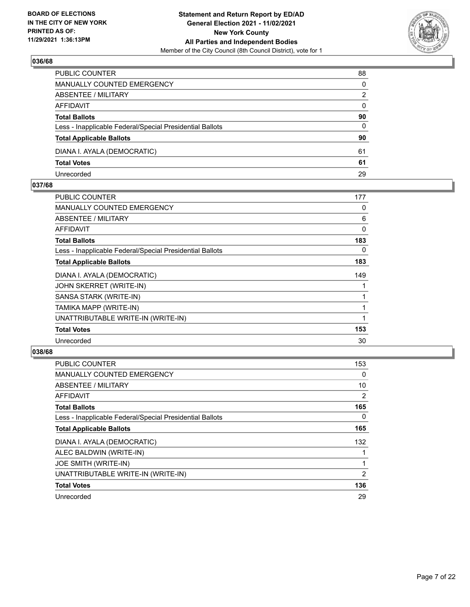

| PUBLIC COUNTER                                           | 88       |
|----------------------------------------------------------|----------|
| MANUALLY COUNTED EMERGENCY                               | $\Omega$ |
| <b>ABSENTEE / MILITARY</b>                               | 2        |
| AFFIDAVIT                                                | $\Omega$ |
| <b>Total Ballots</b>                                     | 90       |
| Less - Inapplicable Federal/Special Presidential Ballots | 0        |
| <b>Total Applicable Ballots</b>                          | 90       |
| DIANA I. AYALA (DEMOCRATIC)                              | 61       |
| <b>Total Votes</b>                                       | 61       |
| Unrecorded                                               | 29       |

#### **037/68**

| PUBLIC COUNTER                                           | 177      |
|----------------------------------------------------------|----------|
| <b>MANUALLY COUNTED EMERGENCY</b>                        | 0        |
| <b>ABSENTEE / MILITARY</b>                               | 6        |
| <b>AFFIDAVIT</b>                                         | $\Omega$ |
| <b>Total Ballots</b>                                     | 183      |
| Less - Inapplicable Federal/Special Presidential Ballots | 0        |
| <b>Total Applicable Ballots</b>                          | 183      |
| DIANA I. AYALA (DEMOCRATIC)                              | 149      |
| JOHN SKERRET (WRITE-IN)                                  |          |
| SANSA STARK (WRITE-IN)                                   |          |
| TAMIKA MAPP (WRITE-IN)                                   |          |
| UNATTRIBUTABLE WRITE-IN (WRITE-IN)                       | 1        |
| <b>Total Votes</b>                                       | 153      |
| Unrecorded                                               | 30       |
|                                                          |          |

| <b>PUBLIC COUNTER</b>                                    | 153 |
|----------------------------------------------------------|-----|
| <b>MANUALLY COUNTED EMERGENCY</b>                        | 0   |
| ABSENTEE / MILITARY                                      | 10  |
| <b>AFFIDAVIT</b>                                         | 2   |
| <b>Total Ballots</b>                                     | 165 |
| Less - Inapplicable Federal/Special Presidential Ballots | 0   |
| <b>Total Applicable Ballots</b>                          | 165 |
| DIANA I. AYALA (DEMOCRATIC)                              | 132 |
| ALEC BALDWIN (WRITE-IN)                                  |     |
| JOE SMITH (WRITE-IN)                                     |     |
| UNATTRIBUTABLE WRITE-IN (WRITE-IN)                       | 2   |
| <b>Total Votes</b>                                       | 136 |
| Unrecorded                                               | 29  |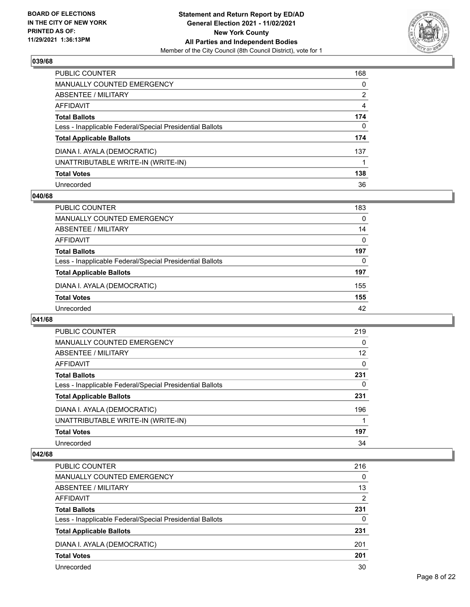

| PUBLIC COUNTER                                           | 168      |
|----------------------------------------------------------|----------|
| MANUALLY COUNTED EMERGENCY                               | $\Omega$ |
| ABSENTEE / MILITARY                                      | 2        |
| <b>AFFIDAVIT</b>                                         | 4        |
| <b>Total Ballots</b>                                     | 174      |
| Less - Inapplicable Federal/Special Presidential Ballots | 0        |
| <b>Total Applicable Ballots</b>                          | 174      |
| DIANA I. AYALA (DEMOCRATIC)                              | 137      |
| UNATTRIBUTABLE WRITE-IN (WRITE-IN)                       |          |
| <b>Total Votes</b>                                       | 138      |
| Unrecorded                                               | 36       |

## **040/68**

| PUBLIC COUNTER                                           | 183      |
|----------------------------------------------------------|----------|
| MANUALLY COUNTED EMERGENCY                               | $\Omega$ |
| ABSENTEE / MILITARY                                      | 14       |
| AFFIDAVIT                                                | $\Omega$ |
| <b>Total Ballots</b>                                     | 197      |
| Less - Inapplicable Federal/Special Presidential Ballots | 0        |
| <b>Total Applicable Ballots</b>                          | 197      |
| DIANA I. AYALA (DEMOCRATIC)                              | 155      |
| <b>Total Votes</b>                                       | 155      |
| Unrecorded                                               | 42       |

#### **041/68**

| <b>PUBLIC COUNTER</b>                                    | 219      |
|----------------------------------------------------------|----------|
| MANUALLY COUNTED EMERGENCY                               | 0        |
| ABSENTEE / MILITARY                                      | 12       |
| AFFIDAVIT                                                | $\Omega$ |
| <b>Total Ballots</b>                                     | 231      |
| Less - Inapplicable Federal/Special Presidential Ballots | 0        |
| <b>Total Applicable Ballots</b>                          | 231      |
| DIANA I. AYALA (DEMOCRATIC)                              | 196      |
| UNATTRIBUTABLE WRITE-IN (WRITE-IN)                       |          |
| <b>Total Votes</b>                                       | 197      |
| Unrecorded                                               | 34       |

| <b>PUBLIC COUNTER</b>                                    | 216            |
|----------------------------------------------------------|----------------|
| MANUALLY COUNTED EMERGENCY                               | $\Omega$       |
| ABSENTEE / MILITARY                                      | 13             |
| AFFIDAVIT                                                | $\overline{2}$ |
| <b>Total Ballots</b>                                     | 231            |
| Less - Inapplicable Federal/Special Presidential Ballots | 0              |
| <b>Total Applicable Ballots</b>                          | 231            |
| DIANA I. AYALA (DEMOCRATIC)                              | 201            |
| <b>Total Votes</b>                                       | 201            |
| Unrecorded                                               | 30             |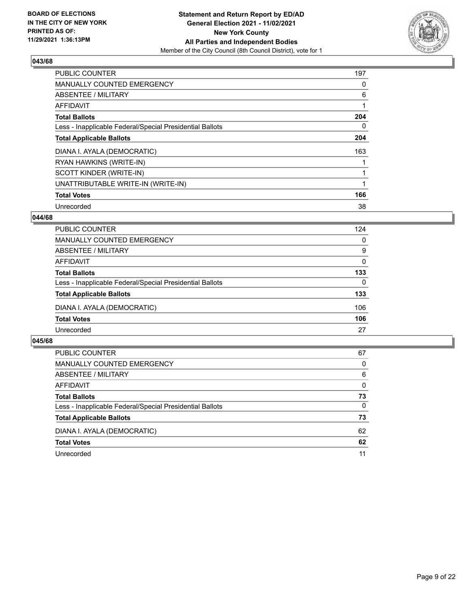

| <b>PUBLIC COUNTER</b>                                    | 197 |
|----------------------------------------------------------|-----|
| <b>MANUALLY COUNTED EMERGENCY</b>                        | 0   |
| ABSENTEE / MILITARY                                      | 6   |
| <b>AFFIDAVIT</b>                                         |     |
| <b>Total Ballots</b>                                     | 204 |
| Less - Inapplicable Federal/Special Presidential Ballots | 0   |
| <b>Total Applicable Ballots</b>                          | 204 |
| DIANA I. AYALA (DEMOCRATIC)                              | 163 |
| RYAN HAWKINS (WRITE-IN)                                  |     |
| SCOTT KINDER (WRITE-IN)                                  |     |
| UNATTRIBUTABLE WRITE-IN (WRITE-IN)                       |     |
| <b>Total Votes</b>                                       | 166 |
| Unrecorded                                               | 38  |

## **044/68**

| <b>PUBLIC COUNTER</b>                                    | 124      |
|----------------------------------------------------------|----------|
| MANUALLY COUNTED EMERGENCY                               | 0        |
| ABSENTEE / MILITARY                                      | 9        |
| AFFIDAVIT                                                | 0        |
| <b>Total Ballots</b>                                     | 133      |
| Less - Inapplicable Federal/Special Presidential Ballots | $\Omega$ |
| <b>Total Applicable Ballots</b>                          | 133      |
| DIANA I. AYALA (DEMOCRATIC)                              | 106      |
| <b>Total Votes</b>                                       | 106      |
| Unrecorded                                               | 27       |

| <b>PUBLIC COUNTER</b>                                    | 67       |
|----------------------------------------------------------|----------|
| MANUALLY COUNTED EMERGENCY                               | $\Omega$ |
| <b>ABSENTEE / MILITARY</b>                               | 6        |
| AFFIDAVIT                                                | $\Omega$ |
| <b>Total Ballots</b>                                     | 73       |
| Less - Inapplicable Federal/Special Presidential Ballots | $\Omega$ |
| <b>Total Applicable Ballots</b>                          | 73       |
| DIANA I. AYALA (DEMOCRATIC)                              | 62       |
| <b>Total Votes</b>                                       | 62       |
| Unrecorded                                               | 11       |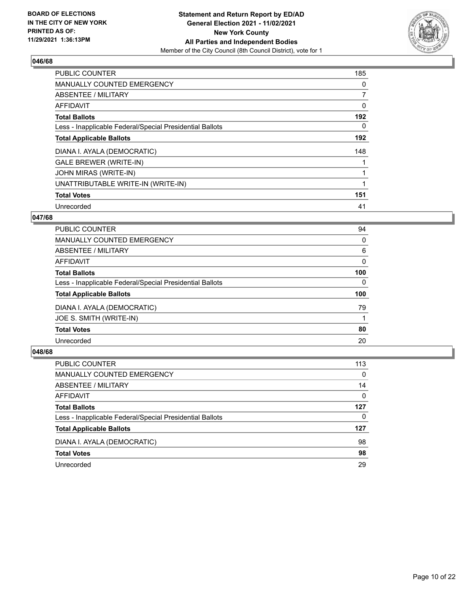

| <b>PUBLIC COUNTER</b>                                    | 185            |
|----------------------------------------------------------|----------------|
| <b>MANUALLY COUNTED EMERGENCY</b>                        | 0              |
| ABSENTEE / MILITARY                                      | $\overline{7}$ |
| <b>AFFIDAVIT</b>                                         | 0              |
| <b>Total Ballots</b>                                     | 192            |
| Less - Inapplicable Federal/Special Presidential Ballots | 0              |
| <b>Total Applicable Ballots</b>                          | 192            |
| DIANA I. AYALA (DEMOCRATIC)                              | 148            |
| <b>GALE BREWER (WRITE-IN)</b>                            |                |
| JOHN MIRAS (WRITE-IN)                                    |                |
| UNATTRIBUTABLE WRITE-IN (WRITE-IN)                       |                |
| <b>Total Votes</b>                                       | 151            |
| Unrecorded                                               | 41             |

## **047/68**

| PUBLIC COUNTER                                           | 94       |
|----------------------------------------------------------|----------|
| <b>MANUALLY COUNTED EMERGENCY</b>                        | 0        |
| ABSENTEE / MILITARY                                      | 6        |
| <b>AFFIDAVIT</b>                                         | 0        |
| <b>Total Ballots</b>                                     | 100      |
| Less - Inapplicable Federal/Special Presidential Ballots | $\Omega$ |
| <b>Total Applicable Ballots</b>                          | 100      |
| DIANA I. AYALA (DEMOCRATIC)                              | 79       |
| JOE S. SMITH (WRITE-IN)                                  |          |
| <b>Total Votes</b>                                       | 80       |
| Unrecorded                                               | 20       |
|                                                          |          |

| <b>PUBLIC COUNTER</b>                                    | 113      |
|----------------------------------------------------------|----------|
| MANUALLY COUNTED EMERGENCY                               | $\Omega$ |
| <b>ABSENTEE / MILITARY</b>                               | 14       |
| AFFIDAVIT                                                | $\Omega$ |
| <b>Total Ballots</b>                                     | 127      |
| Less - Inapplicable Federal/Special Presidential Ballots | 0        |
| <b>Total Applicable Ballots</b>                          | 127      |
| DIANA I. AYALA (DEMOCRATIC)                              | 98       |
| <b>Total Votes</b>                                       | 98       |
| Unrecorded                                               | 29       |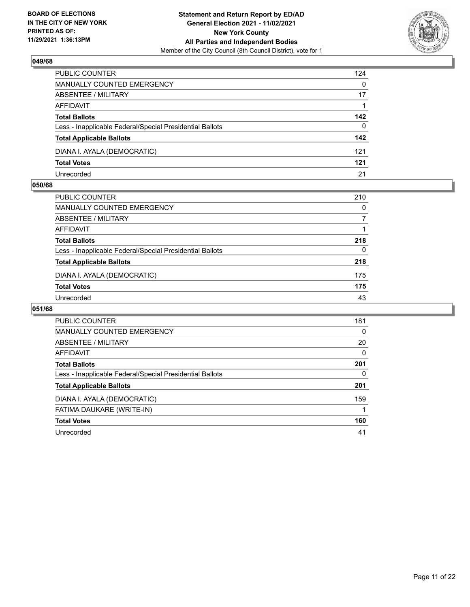

| PUBLIC COUNTER                                           | 124      |
|----------------------------------------------------------|----------|
| <b>MANUALLY COUNTED EMERGENCY</b>                        | $\Omega$ |
| ABSENTEE / MILITARY                                      | 17       |
| AFFIDAVIT                                                |          |
| <b>Total Ballots</b>                                     | 142      |
| Less - Inapplicable Federal/Special Presidential Ballots | 0        |
| <b>Total Applicable Ballots</b>                          | 142      |
| DIANA I. AYALA (DEMOCRATIC)                              | 121      |
| <b>Total Votes</b>                                       | 121      |
| Unrecorded                                               | 21       |

#### **050/68**

| <b>PUBLIC COUNTER</b>                                    | 210 |
|----------------------------------------------------------|-----|
| MANUALLY COUNTED EMERGENCY                               | 0   |
| ABSENTEE / MILITARY                                      |     |
| AFFIDAVIT                                                |     |
| <b>Total Ballots</b>                                     | 218 |
| Less - Inapplicable Federal/Special Presidential Ballots | 0   |
| <b>Total Applicable Ballots</b>                          | 218 |
| DIANA I. AYALA (DEMOCRATIC)                              | 175 |
| <b>Total Votes</b>                                       | 175 |
| Unrecorded                                               | 43  |
|                                                          |     |

| <b>PUBLIC COUNTER</b>                                    | 181      |
|----------------------------------------------------------|----------|
| <b>MANUALLY COUNTED EMERGENCY</b>                        | 0        |
| ABSENTEE / MILITARY                                      | 20       |
| AFFIDAVIT                                                | $\Omega$ |
| <b>Total Ballots</b>                                     | 201      |
| Less - Inapplicable Federal/Special Presidential Ballots | $\Omega$ |
| <b>Total Applicable Ballots</b>                          | 201      |
| DIANA I. AYALA (DEMOCRATIC)                              | 159      |
| FATIMA DAUKARE (WRITE-IN)                                |          |
| <b>Total Votes</b>                                       | 160      |
| Unrecorded                                               | 41       |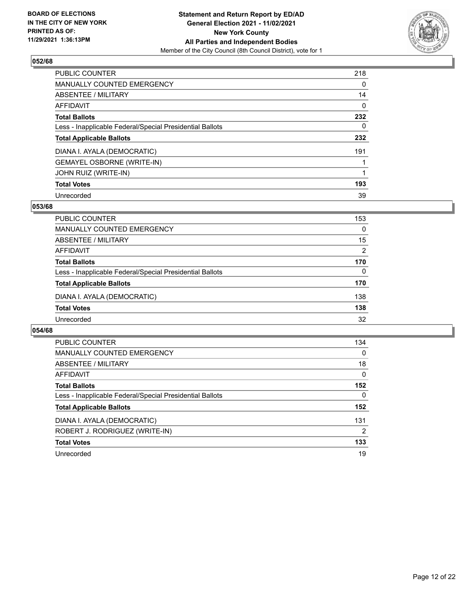

| <b>PUBLIC COUNTER</b>                                    | 218      |
|----------------------------------------------------------|----------|
| <b>MANUALLY COUNTED EMERGENCY</b>                        | $\Omega$ |
| ABSENTEE / MILITARY                                      | 14       |
| <b>AFFIDAVIT</b>                                         | 0        |
| <b>Total Ballots</b>                                     | 232      |
| Less - Inapplicable Federal/Special Presidential Ballots | 0        |
| <b>Total Applicable Ballots</b>                          | 232      |
| DIANA I. AYALA (DEMOCRATIC)                              | 191      |
| <b>GEMAYEL OSBORNE (WRITE-IN)</b>                        |          |
| <b>JOHN RUIZ (WRITE-IN)</b>                              |          |
| <b>Total Votes</b>                                       | 193      |
| Unrecorded                                               | 39       |

#### **053/68**

| <b>PUBLIC COUNTER</b>                                    | 153      |
|----------------------------------------------------------|----------|
| MANUALLY COUNTED EMERGENCY                               | $\Omega$ |
| ABSENTEE / MILITARY                                      | 15       |
| AFFIDAVIT                                                | 2        |
| <b>Total Ballots</b>                                     | 170      |
| Less - Inapplicable Federal/Special Presidential Ballots | $\Omega$ |
| <b>Total Applicable Ballots</b>                          | 170      |
| DIANA I. AYALA (DEMOCRATIC)                              | 138      |
| <b>Total Votes</b>                                       | 138      |
| Unrecorded                                               | 32       |

| <b>PUBLIC COUNTER</b>                                    | 134      |
|----------------------------------------------------------|----------|
| <b>MANUALLY COUNTED EMERGENCY</b>                        | $\Omega$ |
| ABSENTEE / MILITARY                                      | 18       |
| AFFIDAVIT                                                | $\Omega$ |
| <b>Total Ballots</b>                                     | 152      |
| Less - Inapplicable Federal/Special Presidential Ballots | 0        |
| <b>Total Applicable Ballots</b>                          | 152      |
| DIANA I. AYALA (DEMOCRATIC)                              | 131      |
| ROBERT J. RODRIGUEZ (WRITE-IN)                           | 2        |
| <b>Total Votes</b>                                       | 133      |
| Unrecorded                                               | 19       |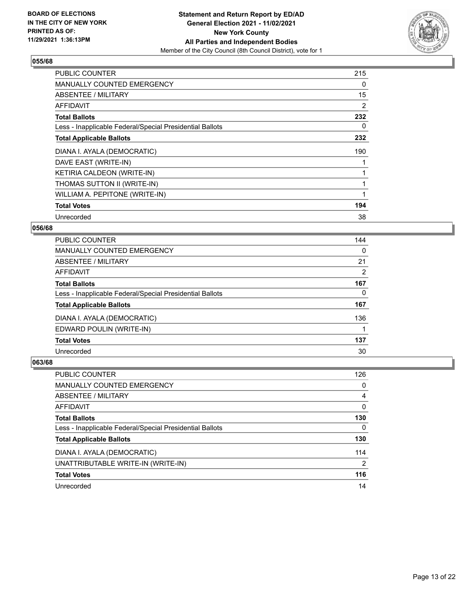

| <b>PUBLIC COUNTER</b>                                    | 215 |
|----------------------------------------------------------|-----|
| <b>MANUALLY COUNTED EMERGENCY</b>                        | 0   |
| <b>ABSENTEE / MILITARY</b>                               | 15  |
| <b>AFFIDAVIT</b>                                         | 2   |
| <b>Total Ballots</b>                                     | 232 |
| Less - Inapplicable Federal/Special Presidential Ballots | 0   |
| <b>Total Applicable Ballots</b>                          | 232 |
| DIANA I. AYALA (DEMOCRATIC)                              | 190 |
| DAVE EAST (WRITE-IN)                                     |     |
| KETIRIA CALDEON (WRITE-IN)                               |     |
|                                                          |     |
| THOMAS SUTTON II (WRITE-IN)                              |     |
| WILLIAM A. PEPITONE (WRITE-IN)                           |     |
| <b>Total Votes</b>                                       | 194 |

## **056/68**

| <b>PUBLIC COUNTER</b>                                    | 144            |
|----------------------------------------------------------|----------------|
| <b>MANUALLY COUNTED EMERGENCY</b>                        | $\Omega$       |
| ABSENTEE / MILITARY                                      | 21             |
| AFFIDAVIT                                                | $\overline{2}$ |
| <b>Total Ballots</b>                                     | 167            |
| Less - Inapplicable Federal/Special Presidential Ballots | 0              |
| <b>Total Applicable Ballots</b>                          | 167            |
| DIANA I. AYALA (DEMOCRATIC)                              | 136            |
| EDWARD POULIN (WRITE-IN)                                 |                |
| <b>Total Votes</b>                                       | 137            |
| Unrecorded                                               | 30             |

| <b>PUBLIC COUNTER</b>                                    | 126      |
|----------------------------------------------------------|----------|
| <b>MANUALLY COUNTED EMERGENCY</b>                        | $\Omega$ |
| ABSENTEE / MILITARY                                      | 4        |
| AFFIDAVIT                                                | $\Omega$ |
| <b>Total Ballots</b>                                     | 130      |
| Less - Inapplicable Federal/Special Presidential Ballots | $\Omega$ |
| <b>Total Applicable Ballots</b>                          | 130      |
| DIANA I. AYALA (DEMOCRATIC)                              | 114      |
| UNATTRIBUTABLE WRITE-IN (WRITE-IN)                       | 2        |
| <b>Total Votes</b>                                       | 116      |
| Unrecorded                                               | 14       |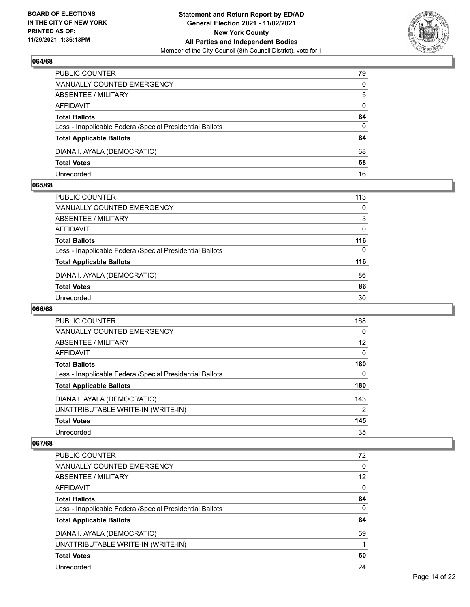

| PUBLIC COUNTER                                           | 79       |
|----------------------------------------------------------|----------|
| MANUALLY COUNTED EMERGENCY                               | 0        |
| <b>ABSENTEE / MILITARY</b>                               | 5        |
| AFFIDAVIT                                                | $\Omega$ |
| <b>Total Ballots</b>                                     | 84       |
| Less - Inapplicable Federal/Special Presidential Ballots | $\Omega$ |
| <b>Total Applicable Ballots</b>                          | 84       |
| DIANA I. AYALA (DEMOCRATIC)                              | 68       |
| <b>Total Votes</b>                                       | 68       |
| Unrecorded                                               | 16       |

#### **065/68**

| PUBLIC COUNTER                                           | 113 |
|----------------------------------------------------------|-----|
| <b>MANUALLY COUNTED EMERGENCY</b>                        | 0   |
| ABSENTEE / MILITARY                                      | 3   |
| AFFIDAVIT                                                | 0   |
| <b>Total Ballots</b>                                     | 116 |
| Less - Inapplicable Federal/Special Presidential Ballots | 0   |
| <b>Total Applicable Ballots</b>                          | 116 |
| DIANA I. AYALA (DEMOCRATIC)                              | 86  |
| <b>Total Votes</b>                                       | 86  |
| Unrecorded                                               | 30  |

## **066/68**

| <b>PUBLIC COUNTER</b>                                    | 168          |
|----------------------------------------------------------|--------------|
| MANUALLY COUNTED EMERGENCY                               | $\Omega$     |
| ABSENTEE / MILITARY                                      | 12           |
| <b>AFFIDAVIT</b>                                         | $\Omega$     |
| <b>Total Ballots</b>                                     | 180          |
| Less - Inapplicable Federal/Special Presidential Ballots | $\mathbf{0}$ |
| <b>Total Applicable Ballots</b>                          | 180          |
| DIANA I. AYALA (DEMOCRATIC)                              | 143          |
| UNATTRIBUTABLE WRITE-IN (WRITE-IN)                       | 2            |
| <b>Total Votes</b>                                       | 145          |
| Unrecorded                                               | 35           |

| <b>PUBLIC COUNTER</b>                                    | 72       |
|----------------------------------------------------------|----------|
| MANUALLY COUNTED EMERGENCY                               | 0        |
| ABSENTEE / MILITARY                                      | 12       |
| AFFIDAVIT                                                | $\Omega$ |
| <b>Total Ballots</b>                                     | 84       |
| Less - Inapplicable Federal/Special Presidential Ballots | 0        |
| <b>Total Applicable Ballots</b>                          | 84       |
| DIANA I. AYALA (DEMOCRATIC)                              | 59       |
| UNATTRIBUTABLE WRITE-IN (WRITE-IN)                       |          |
|                                                          |          |
| <b>Total Votes</b>                                       | 60       |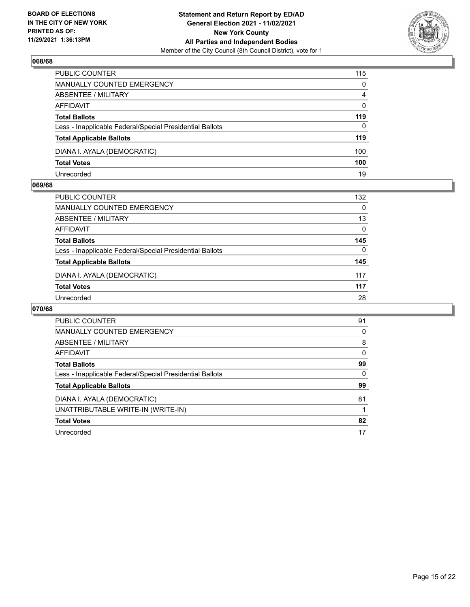

| PUBLIC COUNTER                                           | 115      |
|----------------------------------------------------------|----------|
| <b>MANUALLY COUNTED EMERGENCY</b>                        | $\Omega$ |
| <b>ABSENTEE / MILITARY</b>                               | 4        |
| AFFIDAVIT                                                | $\Omega$ |
| <b>Total Ballots</b>                                     | 119      |
| Less - Inapplicable Federal/Special Presidential Ballots | $\Omega$ |
| <b>Total Applicable Ballots</b>                          | 119      |
| DIANA I. AYALA (DEMOCRATIC)                              | 100      |
| <b>Total Votes</b>                                       | 100      |
| Unrecorded                                               | 19       |

#### **069/68**

| <b>PUBLIC COUNTER</b>                                    | 132 |
|----------------------------------------------------------|-----|
|                                                          |     |
| MANUALLY COUNTED EMERGENCY                               | 0   |
| ABSENTEE / MILITARY                                      | 13  |
| AFFIDAVIT                                                | 0   |
| <b>Total Ballots</b>                                     | 145 |
| Less - Inapplicable Federal/Special Presidential Ballots | 0   |
| <b>Total Applicable Ballots</b>                          | 145 |
| DIANA I. AYALA (DEMOCRATIC)                              | 117 |
| <b>Total Votes</b>                                       | 117 |
| Unrecorded                                               | 28  |

| <b>PUBLIC COUNTER</b>                                    | 91       |
|----------------------------------------------------------|----------|
| <b>MANUALLY COUNTED EMERGENCY</b>                        | 0        |
| ABSENTEE / MILITARY                                      | 8        |
| <b>AFFIDAVIT</b>                                         | 0        |
| <b>Total Ballots</b>                                     | 99       |
| Less - Inapplicable Federal/Special Presidential Ballots | $\Omega$ |
| <b>Total Applicable Ballots</b>                          | 99       |
| DIANA I. AYALA (DEMOCRATIC)                              | 81       |
| UNATTRIBUTABLE WRITE-IN (WRITE-IN)                       |          |
| <b>Total Votes</b>                                       | 82       |
| Unrecorded                                               | 17       |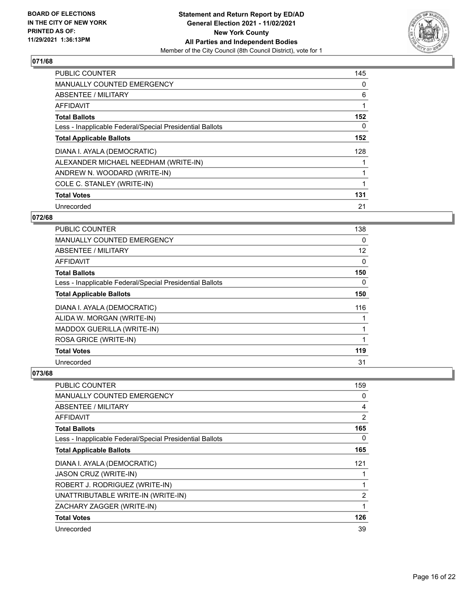

| <b>PUBLIC COUNTER</b>                                    | 145 |
|----------------------------------------------------------|-----|
| MANUALLY COUNTED EMERGENCY                               | 0   |
| ABSENTEE / MILITARY                                      | 6   |
| AFFIDAVIT                                                | 1   |
| <b>Total Ballots</b>                                     | 152 |
| Less - Inapplicable Federal/Special Presidential Ballots | 0   |
| <b>Total Applicable Ballots</b>                          | 152 |
| DIANA I. AYALA (DEMOCRATIC)                              | 128 |
| ALEXANDER MICHAEL NEEDHAM (WRITE-IN)                     |     |
| ANDREW N. WOODARD (WRITE-IN)                             |     |
| COLE C. STANLEY (WRITE-IN)                               | 1   |
| <b>Total Votes</b>                                       | 131 |
| Unrecorded                                               | 21  |

## **072/68**

| PUBLIC COUNTER                                           | 138      |
|----------------------------------------------------------|----------|
| MANUALLY COUNTED EMERGENCY                               | $\Omega$ |
| ABSENTEE / MILITARY                                      | 12       |
| <b>AFFIDAVIT</b>                                         | 0        |
| <b>Total Ballots</b>                                     | 150      |
| Less - Inapplicable Federal/Special Presidential Ballots | 0        |
| <b>Total Applicable Ballots</b>                          | 150      |
| DIANA I. AYALA (DEMOCRATIC)                              | 116      |
| ALIDA W. MORGAN (WRITE-IN)                               |          |
| MADDOX GUERILLA (WRITE-IN)                               |          |
| ROSA GRICE (WRITE-IN)                                    |          |
| <b>Total Votes</b>                                       | 119      |
| Unrecorded                                               | 31       |

| PUBLIC COUNTER                                           | 159            |
|----------------------------------------------------------|----------------|
| <b>MANUALLY COUNTED EMERGENCY</b>                        | 0              |
| ABSENTEE / MILITARY                                      | 4              |
| AFFIDAVIT                                                | $\overline{2}$ |
| <b>Total Ballots</b>                                     | 165            |
| Less - Inapplicable Federal/Special Presidential Ballots | 0              |
| <b>Total Applicable Ballots</b>                          | 165            |
| DIANA I. AYALA (DEMOCRATIC)                              | 121            |
| <b>JASON CRUZ (WRITE-IN)</b>                             | 1              |
| ROBERT J. RODRIGUEZ (WRITE-IN)                           | 1              |
| UNATTRIBUTABLE WRITE-IN (WRITE-IN)                       | $\overline{2}$ |
| ZACHARY ZAGGER (WRITE-IN)                                | 1              |
| <b>Total Votes</b>                                       | 126            |
| Unrecorded                                               | 39             |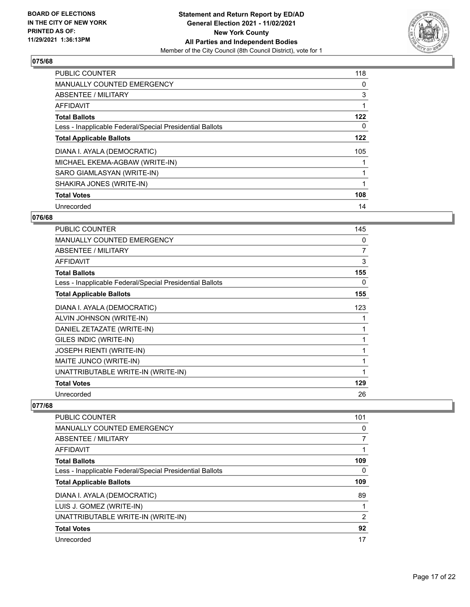

| <b>PUBLIC COUNTER</b>                                    | 118 |
|----------------------------------------------------------|-----|
| <b>MANUALLY COUNTED EMERGENCY</b>                        | 0   |
| ABSENTEE / MILITARY                                      | 3   |
| <b>AFFIDAVIT</b>                                         |     |
| <b>Total Ballots</b>                                     | 122 |
| Less - Inapplicable Federal/Special Presidential Ballots | 0   |
| <b>Total Applicable Ballots</b>                          | 122 |
| DIANA I. AYALA (DEMOCRATIC)                              | 105 |
| MICHAEL EKEMA-AGBAW (WRITE-IN)                           |     |
| SARO GIAMLASYAN (WRITE-IN)                               |     |
| SHAKIRA JONES (WRITE-IN)                                 |     |
| <b>Total Votes</b>                                       | 108 |
| Unrecorded                                               | 14  |

## **076/68**

| <b>PUBLIC COUNTER</b>                                    | 145            |
|----------------------------------------------------------|----------------|
| <b>MANUALLY COUNTED EMERGENCY</b>                        | 0              |
| ABSENTEE / MILITARY                                      | $\overline{7}$ |
| <b>AFFIDAVIT</b>                                         | 3              |
| <b>Total Ballots</b>                                     | 155            |
| Less - Inapplicable Federal/Special Presidential Ballots | 0              |
| <b>Total Applicable Ballots</b>                          | 155            |
| DIANA I. AYALA (DEMOCRATIC)                              | 123            |
| ALVIN JOHNSON (WRITE-IN)                                 |                |
| DANIEL ZETAZATE (WRITE-IN)                               | 1              |
| GILES INDIC (WRITE-IN)                                   |                |
| <b>JOSEPH RIENTI (WRITE-IN)</b>                          | 1              |
| MAITE JUNCO (WRITE-IN)                                   |                |
| UNATTRIBUTABLE WRITE-IN (WRITE-IN)                       |                |
| <b>Total Votes</b>                                       | 129            |
| Unrecorded                                               | 26             |

| PUBLIC COUNTER                                           | 101 |
|----------------------------------------------------------|-----|
| <b>MANUALLY COUNTED EMERGENCY</b>                        | 0   |
| ABSENTEE / MILITARY                                      |     |
| AFFIDAVIT                                                |     |
| <b>Total Ballots</b>                                     | 109 |
| Less - Inapplicable Federal/Special Presidential Ballots | 0   |
| <b>Total Applicable Ballots</b>                          | 109 |
| DIANA I. AYALA (DEMOCRATIC)                              | 89  |
| LUIS J. GOMEZ (WRITE-IN)                                 |     |
| UNATTRIBUTABLE WRITE-IN (WRITE-IN)                       | 2   |
| <b>Total Votes</b>                                       | 92  |
| Unrecorded                                               | 17  |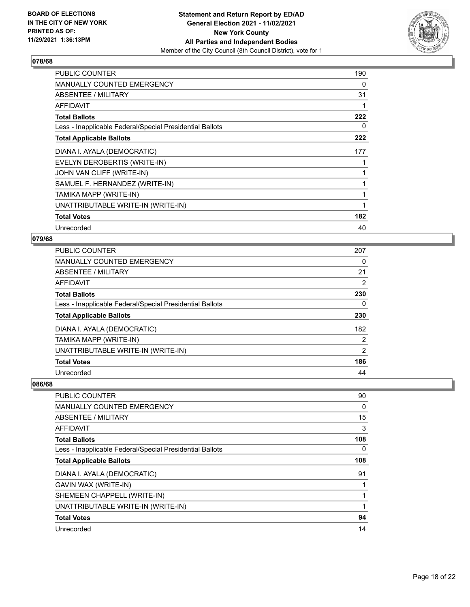

| PUBLIC COUNTER                                           | 190 |
|----------------------------------------------------------|-----|
| <b>MANUALLY COUNTED EMERGENCY</b>                        | 0   |
| ABSENTEE / MILITARY                                      | 31  |
| <b>AFFIDAVIT</b>                                         |     |
| <b>Total Ballots</b>                                     | 222 |
| Less - Inapplicable Federal/Special Presidential Ballots | 0   |
| <b>Total Applicable Ballots</b>                          | 222 |
| DIANA I. AYALA (DEMOCRATIC)                              | 177 |
| EVELYN DEROBERTIS (WRITE-IN)                             |     |
| JOHN VAN CLIFF (WRITE-IN)                                |     |
| SAMUEL F. HERNANDEZ (WRITE-IN)                           |     |
| TAMIKA MAPP (WRITE-IN)                                   |     |
| UNATTRIBUTABLE WRITE-IN (WRITE-IN)                       | 1   |
| <b>Total Votes</b>                                       | 182 |
| Unrecorded                                               | 40  |

## **079/68**

| <b>PUBLIC COUNTER</b>                                    | 207 |
|----------------------------------------------------------|-----|
| <b>MANUALLY COUNTED EMERGENCY</b>                        | 0   |
| ABSENTEE / MILITARY                                      | 21  |
| <b>AFFIDAVIT</b>                                         | 2   |
| <b>Total Ballots</b>                                     | 230 |
| Less - Inapplicable Federal/Special Presidential Ballots | 0   |
| <b>Total Applicable Ballots</b>                          | 230 |
| DIANA I. AYALA (DEMOCRATIC)                              | 182 |
| TAMIKA MAPP (WRITE-IN)                                   | 2   |
| UNATTRIBUTABLE WRITE-IN (WRITE-IN)                       | 2   |
| <b>Total Votes</b>                                       | 186 |
| Unrecorded                                               | 44  |

| PUBLIC COUNTER                                           | 90       |
|----------------------------------------------------------|----------|
| MANUALLY COUNTED EMERGENCY                               | $\Omega$ |
| ABSENTEE / MILITARY                                      | 15       |
| AFFIDAVIT                                                | 3        |
| <b>Total Ballots</b>                                     | 108      |
| Less - Inapplicable Federal/Special Presidential Ballots | 0        |
| <b>Total Applicable Ballots</b>                          | 108      |
| DIANA I. AYALA (DEMOCRATIC)                              | 91       |
| GAVIN WAX (WRITE-IN)                                     |          |
| SHEMEEN CHAPPELL (WRITE-IN)                              |          |
| UNATTRIBUTABLE WRITE-IN (WRITE-IN)                       |          |
| <b>Total Votes</b>                                       | 94       |
| Unrecorded                                               | 14       |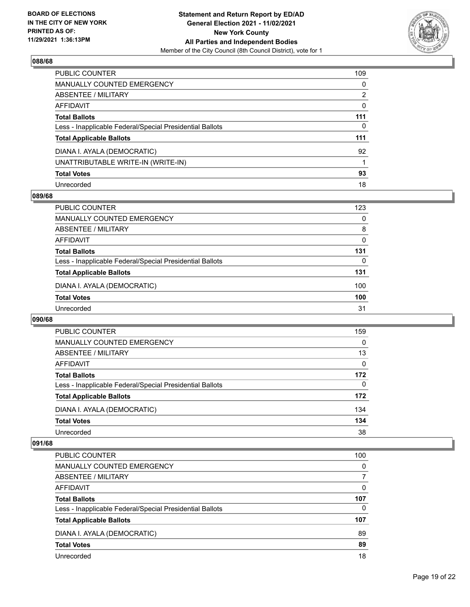

| PUBLIC COUNTER                                           | 109 |
|----------------------------------------------------------|-----|
| <b>MANUALLY COUNTED EMERGENCY</b>                        | 0   |
| <b>ABSENTEE / MILITARY</b>                               | 2   |
| AFFIDAVIT                                                | 0   |
| <b>Total Ballots</b>                                     | 111 |
| Less - Inapplicable Federal/Special Presidential Ballots | 0   |
| <b>Total Applicable Ballots</b>                          | 111 |
| DIANA I. AYALA (DEMOCRATIC)                              | 92  |
| UNATTRIBUTABLE WRITE-IN (WRITE-IN)                       |     |
| <b>Total Votes</b>                                       | 93  |
| Unrecorded                                               | 18  |

## **089/68**

| <b>PUBLIC COUNTER</b>                                    | 123 |
|----------------------------------------------------------|-----|
| MANUALLY COUNTED EMERGENCY                               | 0   |
| ABSENTEE / MILITARY                                      | 8   |
| AFFIDAVIT                                                | 0   |
| <b>Total Ballots</b>                                     | 131 |
| Less - Inapplicable Federal/Special Presidential Ballots | 0   |
| <b>Total Applicable Ballots</b>                          | 131 |
| DIANA I. AYALA (DEMOCRATIC)                              | 100 |
| <b>Total Votes</b>                                       | 100 |
| Unrecorded                                               | 31  |

#### **090/68**

| <b>PUBLIC COUNTER</b>                                    | 159      |
|----------------------------------------------------------|----------|
| <b>MANUALLY COUNTED EMERGENCY</b>                        | 0        |
| ABSENTEE / MILITARY                                      | 13       |
| AFFIDAVIT                                                | $\Omega$ |
| <b>Total Ballots</b>                                     | 172      |
| Less - Inapplicable Federal/Special Presidential Ballots | $\Omega$ |
| <b>Total Applicable Ballots</b>                          | 172      |
| DIANA I. AYALA (DEMOCRATIC)                              | 134      |
| <b>Total Votes</b>                                       | 134      |
| Unrecorded                                               | 38       |

| PUBLIC COUNTER                                           | 100      |
|----------------------------------------------------------|----------|
| <b>MANUALLY COUNTED EMERGENCY</b>                        | $\Omega$ |
| ABSENTEE / MILITARY                                      | 7        |
| AFFIDAVIT                                                | 0        |
| <b>Total Ballots</b>                                     | 107      |
| Less - Inapplicable Federal/Special Presidential Ballots | $\Omega$ |
| <b>Total Applicable Ballots</b>                          | 107      |
| DIANA I. AYALA (DEMOCRATIC)                              | 89       |
| <b>Total Votes</b>                                       | 89       |
| Unrecorded                                               | 18       |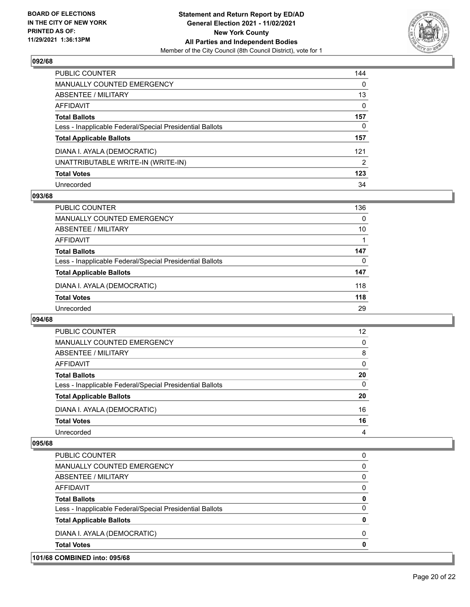

| PUBLIC COUNTER                                           | 144 |
|----------------------------------------------------------|-----|
| MANUALLY COUNTED EMERGENCY                               | 0   |
| ABSENTEE / MILITARY                                      | 13  |
| AFFIDAVIT                                                | 0   |
| Total Ballots                                            | 157 |
| Less - Inapplicable Federal/Special Presidential Ballots | 0   |
| <b>Total Applicable Ballots</b>                          | 157 |
| DIANA I. AYALA (DEMOCRATIC)                              | 121 |
| UNATTRIBUTABLE WRITE-IN (WRITE-IN)                       | 2   |
| <b>Total Votes</b>                                       | 123 |
| Unrecorded                                               | 34  |

## **093/68**

| 136      |
|----------|
| $\Omega$ |
| 10       |
|          |
| 147      |
| 0        |
| 147      |
| 118      |
| 118      |
| 29       |
|          |

#### **094/68**

| PUBLIC COUNTER                                           | 12       |
|----------------------------------------------------------|----------|
| <b>MANUALLY COUNTED EMERGENCY</b>                        | $\Omega$ |
| ABSENTEE / MILITARY                                      | 8        |
| AFFIDAVIT                                                | $\Omega$ |
| <b>Total Ballots</b>                                     | 20       |
| Less - Inapplicable Federal/Special Presidential Ballots | $\Omega$ |
| <b>Total Applicable Ballots</b>                          | 20       |
| DIANA I. AYALA (DEMOCRATIC)                              | 16       |
| <b>Total Votes</b>                                       | 16       |
| Unrecorded                                               | 4        |

| 101/68 COMBINED into: 095/68                             |          |
|----------------------------------------------------------|----------|
| <b>Total Votes</b>                                       | 0        |
| DIANA I. AYALA (DEMOCRATIC)                              | $\Omega$ |
| <b>Total Applicable Ballots</b>                          | 0        |
| Less - Inapplicable Federal/Special Presidential Ballots | $\Omega$ |
| <b>Total Ballots</b>                                     | 0        |
| AFFIDAVIT                                                | $\Omega$ |
| ABSENTEE / MILITARY                                      | $\Omega$ |
| MANUALLY COUNTED EMERGENCY                               | 0        |
| PUBLIC COUNTER                                           | $\Omega$ |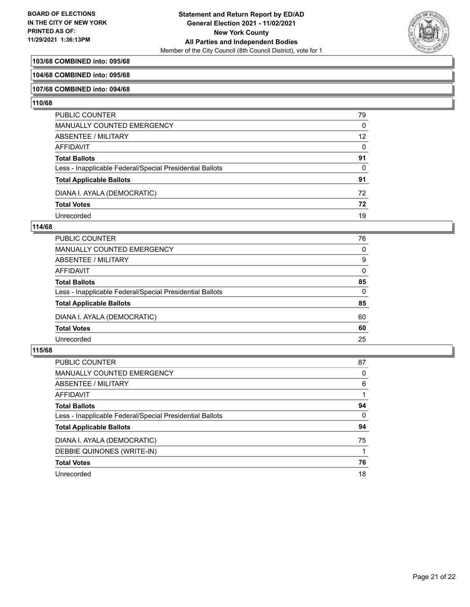

## **103/68 COMBINED into: 095/68**

#### **104/68 COMBINED into: 095/68**

#### **107/68 COMBINED into: 094/68**

#### **110/68**

| PUBLIC COUNTER                                           | 79 |
|----------------------------------------------------------|----|
| <b>MANUALLY COUNTED EMERGENCY</b>                        | 0  |
| <b>ABSENTEE / MILITARY</b>                               | 12 |
| <b>AFFIDAVIT</b>                                         | 0  |
| <b>Total Ballots</b>                                     | 91 |
| Less - Inapplicable Federal/Special Presidential Ballots | 0  |
| <b>Total Applicable Ballots</b>                          | 91 |
| DIANA I. AYALA (DEMOCRATIC)                              | 72 |
| <b>Total Votes</b>                                       | 72 |
| Unrecorded                                               | 19 |

#### **114/68**

| <b>PUBLIC COUNTER</b>                                    | 76       |
|----------------------------------------------------------|----------|
| <b>MANUALLY COUNTED EMERGENCY</b>                        | $\Omega$ |
| ABSENTEE / MILITARY                                      | 9        |
| <b>AFFIDAVIT</b>                                         | $\Omega$ |
| <b>Total Ballots</b>                                     | 85       |
| Less - Inapplicable Federal/Special Presidential Ballots | $\Omega$ |
| <b>Total Applicable Ballots</b>                          | 85       |
| DIANA I. AYALA (DEMOCRATIC)                              | 60       |
| <b>Total Votes</b>                                       | 60       |
| Unrecorded                                               |          |
|                                                          |          |

| <b>PUBLIC COUNTER</b>                                    | 87       |
|----------------------------------------------------------|----------|
| <b>MANUALLY COUNTED EMERGENCY</b>                        | 0        |
| ABSENTEE / MILITARY                                      | 6        |
| AFFIDAVIT                                                |          |
| <b>Total Ballots</b>                                     | 94       |
| Less - Inapplicable Federal/Special Presidential Ballots | $\Omega$ |
| <b>Total Applicable Ballots</b>                          | 94       |
| DIANA I. AYALA (DEMOCRATIC)                              | 75       |
| DEBBIE QUINONES (WRITE-IN)                               |          |
| <b>Total Votes</b>                                       | 76       |
| Unrecorded                                               | 18       |